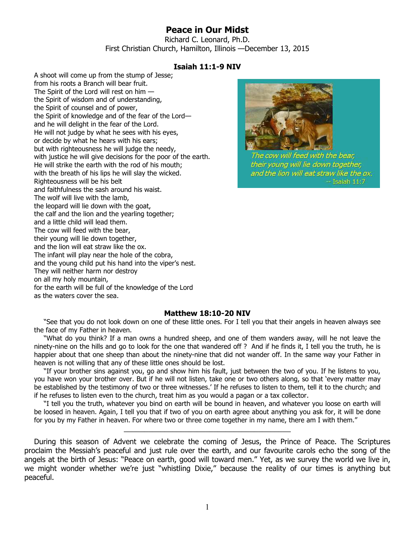## **Peace in Our Midst**

Richard C. Leonard, Ph.D. First Christian Church, Hamilton, Illinois —December 13, 2015

## **Isaiah 11:1-9 NIV**

A shoot will come up from the stump of Jesse; from his roots a Branch will bear fruit. The Spirit of the Lord will rest on him the Spirit of wisdom and of understanding, the Spirit of counsel and of power, the Spirit of knowledge and of the fear of the Lord and he will delight in the fear of the Lord. He will not judge by what he sees with his eyes, or decide by what he hears with his ears; but with righteousness he will judge the needy, with justice he will give decisions for the poor of the earth. He will strike the earth with the rod of his mouth; with the breath of his lips he will slay the wicked. Righteousness will be his belt and faithfulness the sash around his waist. The wolf will live with the lamb, the leopard will lie down with the goat, the calf and the lion and the yearling together; and a little child will lead them. The cow will feed with the bear, their young will lie down together, and the lion will eat straw like the ox. The infant will play near the hole of the cobra, and the young child put his hand into the viper's nest. They will neither harm nor destroy on all my holy mountain, for the earth will be full of the knowledge of the Lord as the waters cover the sea.



The cow will feed with the bear, their young will lie down together, and the lion will eat straw like the ox.  $-$ Isaiah  $11.7$ 

## **Matthew 18:10-20 NIV**

"See that you do not look down on one of these little ones. For I tell you that their angels in heaven always see the face of my Father in heaven.

"What do you think? If a man owns a hundred sheep, and one of them wanders away, will he not leave the ninety-nine on the hills and go to look for the one that wandered off ? And if he finds it, I tell you the truth, he is happier about that one sheep than about the ninety-nine that did not wander off. In the same way your Father in heaven is not willing that any of these little ones should be lost.

"If your brother sins against you, go and show him his fault, just between the two of you. If he listens to you, you have won your brother over. But if he will not listen, take one or two others along, so that 'every matter may be established by the testimony of two or three witnesses.' If he refuses to listen to them, tell it to the church; and if he refuses to listen even to the church, treat him as you would a pagan or a tax collector.

"I tell you the truth, whatever you bind on earth will be bound in heaven, and whatever you loose on earth will be loosed in heaven. Again, I tell you that if two of you on earth agree about anything you ask for, it will be done for you by my Father in heaven. For where two or three come together in my name, there am I with them."

 $\overline{\phantom{a}}$  , and the contract of the contract of the contract of the contract of the contract of the contract of the contract of the contract of the contract of the contract of the contract of the contract of the contrac

During this season of Advent we celebrate the coming of Jesus, the Prince of Peace. The Scriptures proclaim the Messiah's peaceful and just rule over the earth, and our favourite carols echo the song of the angels at the birth of Jesus: "Peace on earth, good will toward men." Yet, as we survey the world we live in, we might wonder whether we're just "whistling Dixie," because the reality of our times is anything but peaceful.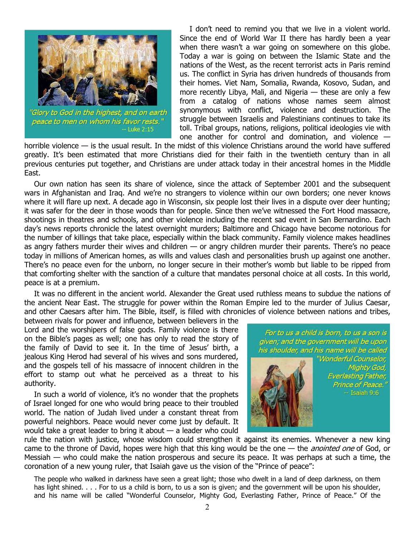

"Glory to God in the highest, and on earth peace to men on whom his favor rests."  $-$  Luke  $2:15$ 

I don't need to remind you that we live in a violent world. Since the end of World War II there has hardly been a year when there wasn't a war going on somewhere on this globe. Today a war is going on between the Islamic State and the nations of the West, as the recent terrorist acts in Paris remind us. The conflict in Syria has driven hundreds of thousands from their homes. Viet Nam, Somalia, Rwanda, Kosovo, Sudan, and more recently Libya, Mali, and Nigeria — these are only a few from a catalog of nations whose names seem almost synonymous with conflict, violence and destruction. The struggle between Israelis and Palestinians continues to take its toll. Tribal groups, nations, religions, political ideologies vie with one another for control and domination, and violence —

horrible violence — is the usual result. In the midst of this violence Christians around the world have suffered greatly. It's been estimated that more Christians died for their faith in the twentieth century than in all previous centuries put together, and Christians are under attack today in their ancestral homes in the Middle East.

Our own nation has seen its share of violence, since the attack of September 2001 and the subsequent wars in Afghanistan and Iraq. And we're no strangers to violence within our own borders; one never knows where it will flare up next. A decade ago in Wisconsin, six people lost their lives in a dispute over deer hunting; it was safer for the deer in those woods than for people. Since then we've witnessed the Fort Hood massacre, shootings in theatres and schools, and other violence including the recent sad event in San Bernardino. Each day's news reports chronicle the latest overnight murders; Baltimore and Chicago have become notorious for the number of killings that take place, especially within the black community. Family violence makes headlines as angry fathers murder their wives and children — or angry children murder their parents. There's no peace today in millions of American homes, as wills and values clash and personalities brush up against one another. There's no peace even for the unborn, no longer secure in their mother's womb but liable to be ripped from that comforting shelter with the sanction of a culture that mandates personal choice at all costs. In this world, peace is at a premium.

It was no different in the ancient world. Alexander the Great used ruthless means to subdue the nations of the ancient Near East. The struggle for power within the Roman Empire led to the murder of Julius Caesar, and other Caesars after him. The Bible, itself, is filled with chronicles of violence between nations and tribes,

between rivals for power and influence, between believers in the Lord and the worshipers of false gods. Family violence is there on the Bible's pages as well; one has only to read the story of the family of David to see it. In the time of Jesus' birth, a jealous King Herod had several of his wives and sons murdered, and the gospels tell of his massacre of innocent children in the effort to stamp out what he perceived as a threat to his authority.

In such a world of violence, it's no wonder that the prophets of Israel longed for one who would bring peace to their troubled world. The nation of Judah lived under a constant threat from powerful neighbors. Peace would never come just by default. It would take a great leader to bring it about — a leader who could



rule the nation with justice, whose wisdom could strengthen it against its enemies. Whenever a new king came to the throne of David, hopes were high that this king would be the one — the *anointed one* of God, or Messiah — who could make the nation prosperous and secure its peace. It was perhaps at such a time, the coronation of a new young ruler, that Isaiah gave us the vision of the "Prince of peace":

The people who walked in darkness have seen a great light; those who dwelt in a land of deep darkness, on them has light shined. . . . For to us a child is born, to us a son is given; and the government will be upon his shoulder, and his name will be called "Wonderful Counselor, Mighty God, Everlasting Father, Prince of Peace." Of the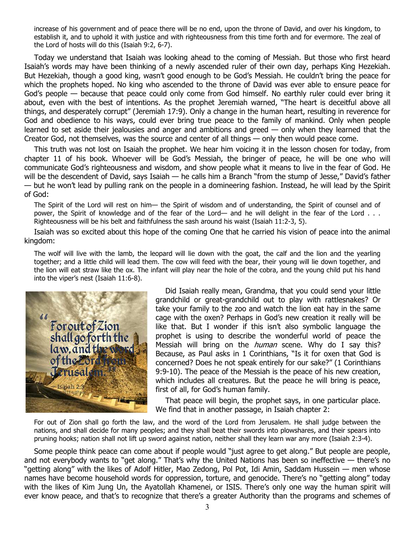increase of his government and of peace there will be no end, upon the throne of David, and over his kingdom, to establish it, and to uphold it with justice and with righteousness from this time forth and for evermore. The zeal of the Lord of hosts will do this (Isaiah 9:2, 6-7).

Today we understand that Isaiah was looking ahead to the coming of Messiah. But those who first heard Isaiah's words may have been thinking of a newly ascended ruler of their own day, perhaps King Hezekiah. But Hezekiah, though a good king, wasn't good enough to be God's Messiah. He couldn't bring the peace for which the prophets hoped. No king who ascended to the throne of David was ever able to ensure peace for God's people — because that peace could only come from God himself. No earthly ruler could ever bring it about, even with the best of intentions. As the prophet Jeremiah warned, "The heart is deceitful above all things, and desperately corrupt" (Jeremiah 17:9). Only a change in the human heart, resulting in reverence for God and obedience to his ways, could ever bring true peace to the family of mankind. Only when people learned to set aside their jealousies and anger and ambitions and greed — only when they learned that the Creator God, not themselves, was the source and center of all things — only then would peace come.

This truth was not lost on Isaiah the prophet. We hear him voicing it in the lesson chosen for today, from chapter 11 of his book. Whoever will be God's Messiah, the bringer of peace, he will be one who will communicate God's righteousness and wisdom, and show people what it means to live in the fear of God. He will be the descendent of David, says Isaiah — he calls him a Branch "from the stump of Jesse," David's father — but he won't lead by pulling rank on the people in a domineering fashion. Instead, he will lead by the Spirit of God:

The Spirit of the Lord will rest on him— the Spirit of wisdom and of understanding, the Spirit of counsel and of power, the Spirit of knowledge and of the fear of the Lord— and he will delight in the fear of the Lord . . . Righteousness will be his belt and faithfulness the sash around his waist (Isaiah 11:2-3, 5).

Isaiah was so excited about this hope of the coming One that he carried his vision of peace into the animal kingdom:

The wolf will live with the lamb, the leopard will lie down with the goat, the calf and the lion and the yearling together; and a little child will lead them. The cow will feed with the bear, their young will lie down together, and the lion will eat straw like the ox. The infant will play near the hole of the cobra, and the young child put his hand into the viper's nest (Isaiah 11:6-8).



Did Isaiah really mean, Grandma, that you could send your little grandchild or great-grandchild out to play with rattlesnakes? Or take your family to the zoo and watch the lion eat hay in the same cage with the oxen? Perhaps in God's new creation it really will be like that. But I wonder if this isn't also symbolic language the prophet is using to describe the wonderful world of peace the Messiah will bring on the *human* scene. Why do I say this? Because, as Paul asks in 1 Corinthians, "Is it for oxen that God is concerned? Does he not speak entirely for our sake?" (1 Corinthians 9:9-10). The peace of the Messiah is the peace of his new creation, which includes all creatures. But the peace he will bring is peace, first of all, for God's human family.

That peace will begin, the prophet says, in one particular place. We find that in another passage, in Isaiah chapter 2:

For out of Zion shall go forth the law, and the word of the Lord from Jerusalem. He shall judge between the nations, and shall decide for many peoples; and they shall beat their swords into plowshares, and their spears into pruning hooks; nation shall not lift up sword against nation, neither shall they learn war any more (Isaiah 2:3-4).

Some people think peace can come about if people would "just agree to get along." But people are people, and not everybody wants to "get along." That's why the United Nations has been so ineffective — there's no "getting along" with the likes of Adolf Hitler, Mao Zedong, Pol Pot, Idi Amin, Saddam Hussein — men whose names have become household words for oppression, torture, and genocide. There's no "getting along" today with the likes of Kim Jung Un, the Ayatollah Khamenei, or ISIS. There's only one way the human spirit will ever know peace, and that's to recognize that there's a greater Authority than the programs and schemes of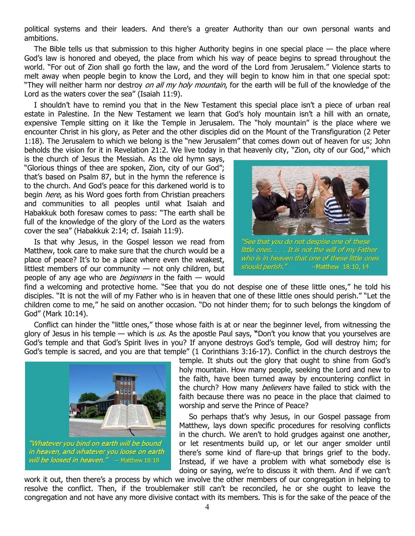political systems and their leaders. And there's a greater Authority than our own personal wants and ambitions.

The Bible tells us that submission to this higher Authority begins in one special place  $-$  the place where God's law is honored and obeyed, the place from which his way of peace begins to spread throughout the world. "For out of Zion shall go forth the law, and the word of the Lord from Jerusalem." Violence starts to melt away when people begin to know the Lord, and they will begin to know him in that one special spot: "They will neither harm nor destroy on all my holy mountain, for the earth will be full of the knowledge of the Lord as the waters cover the sea" (Isaiah 11:9).

I shouldn't have to remind you that in the New Testament this special place isn't a piece of urban real estate in Palestine. In the New Testament we learn that God's holy mountain isn't a hill with an ornate, expensive Temple sitting on it like the Temple in Jerusalem. The "holy mountain" is the place where we encounter Christ in his glory, as Peter and the other disciples did on the Mount of the Transfiguration (2 Peter 1:18). The Jerusalem to which we belong is the "new Jerusalem" that comes down out of heaven for us; John beholds the vision for it in Revelation 21:2. We live today in that heavenly city, "Zion, city of our God," which

is the church of Jesus the Messiah. As the old hymn says, "Glorious things of thee are spoken, Zion, city of our God"; that's based on Psalm 87, but in the hymn the reference is to the church. And God's peace for this darkened world is to begin *here*, as his Word goes forth from Christian preachers and communities to all peoples until what Isaiah and Habakkuk both foresaw comes to pass: "The earth shall be full of the knowledge of the glory of the Lord as the waters cover the sea" (Habakkuk 2:14; cf. Isaiah 11:9).

Is that why Jesus, in the Gospel lesson we read from Matthew, took care to make sure that the church would be a place of peace? It's to be a place where even the weakest, littlest members of our community — not only children, but people of any age who are *beginners* in the faith  $-$  would



"See that you do not despise one of these little ones. . . . It is not the will of my Father who is in heaven that one of these little ones should perish."  $-Matthew$  18:10, 14

find a welcoming and protective home. "See that you do not despise one of these little ones," he told his disciples. "It is not the will of my Father who is in heaven that one of these little ones should perish." "Let the children come to me," he said on another occasion. "Do not hinder them; for to such belongs the kingdom of God" (Mark 10:14).

Conflict can hinder the "little ones," those whose faith is at or near the beginner level, from witnessing the glory of Jesus in his temple — which is us. As the apostle Paul says, **"**Don't you know that you yourselves are God's temple and that God's Spirit lives in you? If anyone destroys God's temple, God will destroy him; for God's temple is sacred, and you are that temple" (1 Corinthians 3:16-17). Conflict in the church destroys the



temple. It shuts out the glory that ought to shine from God's holy mountain. How many people, seeking the Lord and new to the faith, have been turned away by encountering conflict in the church? How many *believers* have failed to stick with the faith because there was no peace in the place that claimed to worship and serve the Prince of Peace?

So perhaps that's why Jesus, in our Gospel passage from Matthew, lays down specific procedures for resolving conflicts in the church. We aren't to hold grudges against one another, or let resentments build up, or let our anger smolder until there's some kind of flare-up that brings grief to the body. Instead, if we have a problem with what somebody else is doing or saying, we're to discuss it with them. And if we can't

work it out, then there's a process by which we involve the other members of our congregation in helping to resolve the conflict. Then, if the troublemaker still can't be reconciled, he or she ought to leave the congregation and not have any more divisive contact with its members. This is for the sake of the peace of the